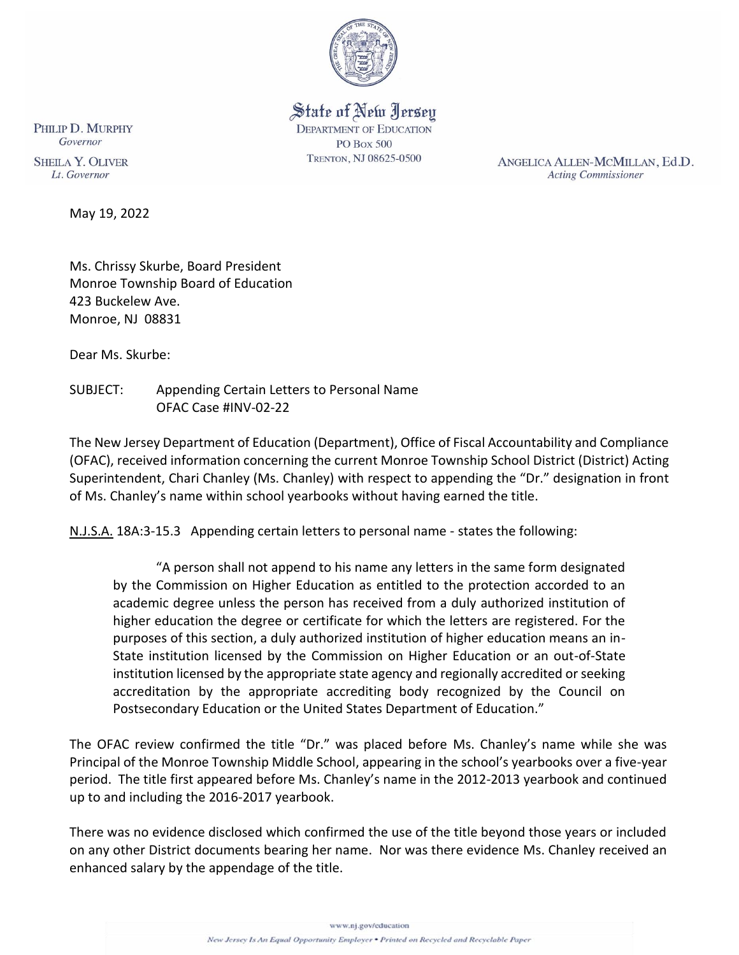

State of New Jersey **DEPARTMENT OF EDUCATION PO Box 500** TRENTON, NJ 08625-0500

ANGELICA ALLEN-MCMILLAN, Ed.D. **Acting Commissioner** 

PHILIP D. MURPHY Governor

**SHEILA Y. OLIVER** Lt. Governor

May 19, 2022

Ms. Chrissy Skurbe, Board President Monroe Township Board of Education 423 Buckelew Ave. Monroe, NJ 08831

Dear Ms. Skurbe:

SUBJECT: Appending Certain Letters to Personal Name OFAC Case #INV-02-22

The New Jersey Department of Education (Department), Office of Fiscal Accountability and Compliance (OFAC), received information concerning the current Monroe Township School District (District) Acting Superintendent, Chari Chanley (Ms. Chanley) with respect to appending the "Dr." designation in front of Ms. Chanley's name within school yearbooks without having earned the title.

N.J.S.A. 18A:3-15.3 Appending certain letters to personal name - states the following:

 "A person shall not append to his name any letters in the same form designated by the Commission on Higher Education as entitled to the protection accorded to an academic degree unless the person has received from a duly authorized institution of higher education the degree or certificate for which the letters are registered. For the purposes of this section, a duly authorized institution of higher education means an in-State institution licensed by the Commission on Higher Education or an out-of-State institution licensed by the appropriate state agency and regionally accredited or seeking accreditation by the appropriate accrediting body recognized by the Council on Postsecondary Education or the United States Department of Education."

The OFAC review confirmed the title "Dr." was placed before Ms. Chanley's name while she was Principal of the Monroe Township Middle School, appearing in the school's yearbooks over a five-year period. The title first appeared before Ms. Chanley's name in the 2012-2013 yearbook and continued up to and including the 2016-2017 yearbook.

There was no evidence disclosed which confirmed the use of the title beyond those years or included on any other District documents bearing her name. Nor was there evidence Ms. Chanley received an enhanced salary by the appendage of the title.

www.nj.gov/education